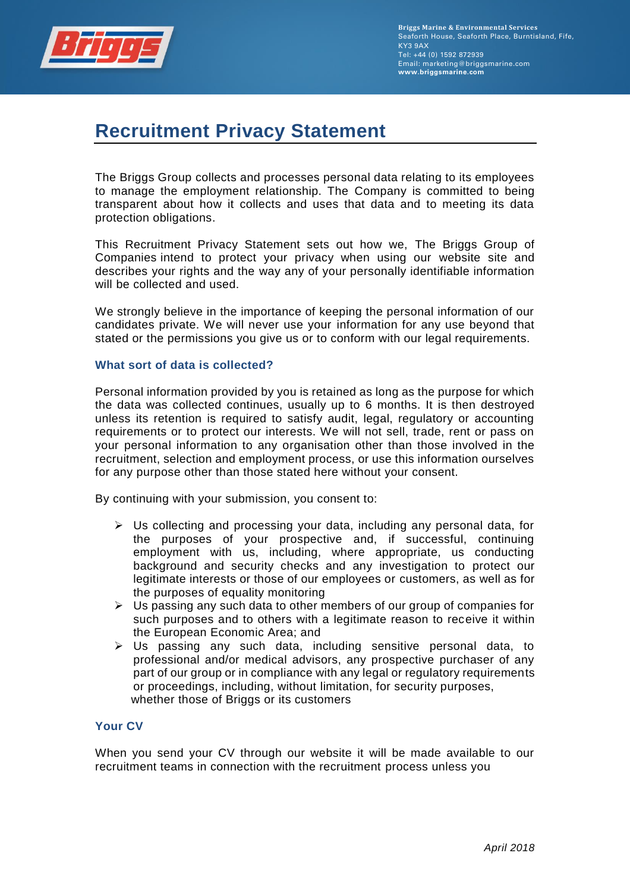

# **Recruitment Privacy Statement**

The Briggs Group collects and processes personal data relating to its employees to manage the employment relationship. The Company is committed to being transparent about how it collects and uses that data and to meeting its data protection obligations.

This Recruitment Privacy Statement sets out how we, The Briggs Group of Companies intend to protect your privacy when using our website site and describes your rights and the way any of your personally identifiable information will be collected and used.

We strongly believe in the importance of keeping the personal information of our candidates private. We will never use your information for any use beyond that stated or the permissions you give us or to conform with our legal requirements.

#### **What sort of data is collected?**

Personal information provided by you is retained as long as the purpose for which the data was collected continues, usually up to 6 months. It is then destroyed unless its retention is required to satisfy audit, legal, regulatory or accounting requirements or to protect our interests. We will not sell, trade, rent or pass on your personal information to any organisation other than those involved in the recruitment, selection and employment process, or use this information ourselves for any purpose other than those stated here without your consent.

By continuing with your submission, you consent to:

- ➢ Us collecting and processing your data, including any personal data, for the purposes of your prospective and, if successful, continuing employment with us, including, where appropriate, us conducting background and security checks and any investigation to protect our legitimate interests or those of our employees or customers, as well as for the purposes of equality monitoring
- $\triangleright$  Us passing any such data to other members of our group of companies for such purposes and to others with a legitimate reason to receive it within the European Economic Area; and
- ➢ Us passing any such data, including sensitive personal data, to professional and/or medical advisors, any prospective purchaser of any part of our group or in compliance with any legal or regulatory requirements or proceedings, including, without limitation, for security purposes, whether those of Briggs or its customers

## **Your CV**

When you send your CV through our website it will be made available to our recruitment teams in connection with the recruitment process unless you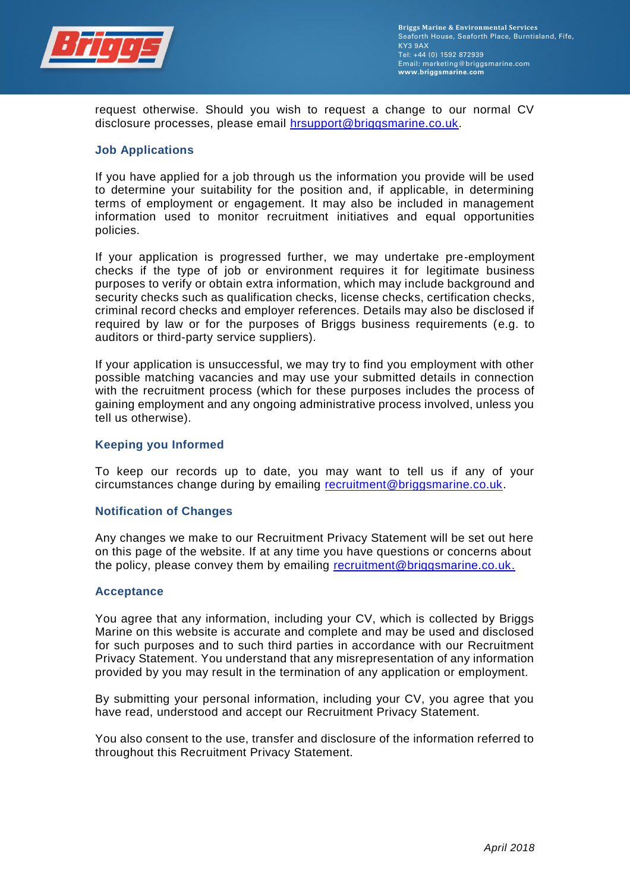

request otherwise. Should you wish to request a change to our normal CV disclosure processes, please email [hrsupport@briggsmarine.co.uk.](mailto:hrsupport@briggsmarine.co.uk)

#### **Job Applications**

If you have applied for a job through us the information you provide will be used to determine your suitability for the position and, if applicable, in determining terms of employment or engagement. It may also be included in management information used to monitor recruitment initiatives and equal opportunities policies.

If your application is progressed further, we may undertake pre-employment checks if the type of job or environment requires it for legitimate business purposes to verify or obtain extra information, which may include background and security checks such as qualification checks, license checks, certification checks, criminal record checks and employer references. Details may also be disclosed if required by law or for the purposes of Briggs business requirements (e.g. to auditors or third-party service suppliers).

If your application is unsuccessful, we may try to find you employment with other possible matching vacancies and may use your submitted details in connection with the recruitment process (which for these purposes includes the process of gaining employment and any ongoing administrative process involved, unless you tell us otherwise).

#### **Keeping you Informed**

To keep our records up to date, you may want to tell us if any of your circumstances change during by emailing [recruitment@briggsmarine.co.uk.](mailto:recruitment@briggsmarine.co.uk)

#### **Notification of Changes**

Any changes we make to our Recruitment Privacy Statement will be set out here on this page of the website. If at any time you have questions or concerns about the policy, please convey them by emailing [recruitment@briggsmarine.co.uk.](mailto:recruitment@briggsmarine.co.uk)

#### **Acceptance**

You agree that any information, including your CV, which is collected by Briggs Marine on this website is accurate and complete and may be used and disclosed for such purposes and to such third parties in accordance with our Recruitment Privacy Statement. You understand that any misrepresentation of any information provided by you may result in the termination of any application or employment.

By submitting your personal information, including your CV, you agree that you have read, understood and accept our Recruitment Privacy Statement.

You also consent to the use, transfer and disclosure of the information referred to throughout this Recruitment Privacy Statement.